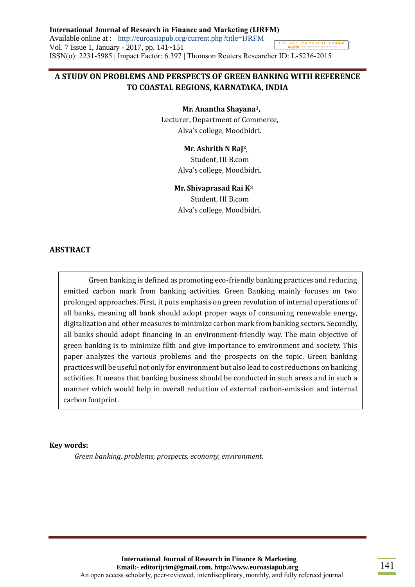**International Journal of Research in Finance and Marketing (IJRFM)** Available online at : http://euroasiapub.org/current.php?title=IJRFM RESEARCHER**ID** Vol. 7 Issue 1, January - 2017, pp. 141~151 ISSN(o): 2231-5985 | Impact Factor: 6.397 | Thomson Reuters Researcher ID: L-5236-2015

# **A STUDY ON PROBLEMS AND PERSPECTS OF GREEN BANKING WITH REFERENCE TO COASTAL REGIONS, KARNATAKA, INDIA**

 **Mr. Anantha Shayana1,**

Lecturer, Department of Commerce, Alva's college, Moodbidri.

#### **Mr. Ashrith N Raj<sup>2</sup> ,**

Student, III B.com Alva's college, Moodbidri.

#### **Mr. Shivaprasad Rai K<sup>3</sup>**

Student, III B.com Alva's college, Moodbidri.

#### **ABSTRACT**

Green banking is defined as promoting eco-friendly banking practices and reducing emitted carbon mark from banking activities. Green Banking mainly focuses on two prolonged approaches. First, it puts emphasis on green revolution of internal operations of all banks, meaning all bank should adopt proper ways of consuming renewable energy, digitalization and other measures to minimize carbon mark from banking sectors. Secondly, all banks should adopt financing in an environment-friendly way. The main objective of green banking is to minimize filth and give importance to environment and society. This paper analyzes the various problems and the prospects on the topic. Green banking practices will be useful not only for environment but also lead to cost reductions on banking activities. It means that banking business should be conducted in such areas and in such a manner which would help in overall reduction of external carbon-emission and internal carbon footprint.

#### **Key words:**

*Green banking, problems, prospects, economy, environment.*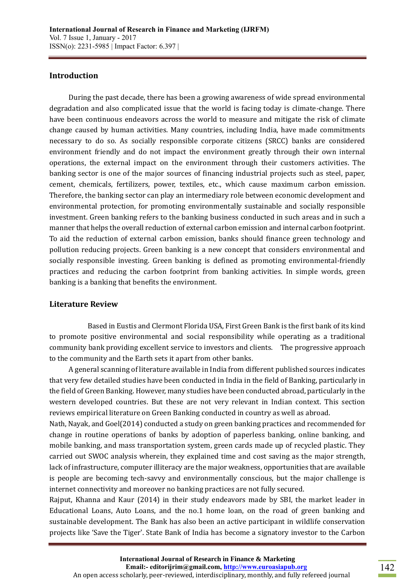#### **Introduction**

 During the past decade, there has been a growing awareness of wide spread environmental degradation and also complicated issue that the world is facing today is climate-change. There have been continuous endeavors across the world to measure and mitigate the risk of climate change caused by human activities. Many countries, including India, have made commitments necessary to do so. As socially responsible corporate citizens (SRCC) banks are considered environment friendly and do not impact the environment greatly through their own internal operations, the external impact on the environment through their customers activities. The banking sector is one of the major sources of financing industrial projects such as steel, paper, cement, chemicals, fertilizers, power, textiles, etc., which cause maximum carbon emission. Therefore, the banking sector can play an intermediary role between economic development and environmental protection, for promoting environmentally sustainable and socially responsible investment. Green banking refers to the banking business conducted in such areas and in such a manner that helps the overall reduction of external carbon emission and internal carbon footprint. To aid the reduction of external carbon emission, banks should finance green technology and pollution reducing projects. Green banking is a new concept that considers environmental and socially responsible investing. Green banking is defined as promoting environmental-friendly practices and reducing the carbon footprint from banking activities. In simple words, green banking is a banking that benefits the environment.

#### **Literature Review**

 Based in Eustis and Clermont Florida USA, First Green Bank is the first bank of its kind to promote positive environmental and social responsibility while operating as a traditional community bank providing excellent service to investors and clients. The progressive approach to the community and the Earth sets it apart from other banks.

 A general scanning of literature available in India from different published sources indicates that very few detailed studies have been conducted in India in the field of Banking, particularly in the field of Green Banking. However, many studies have been conducted abroad, particularly in the western developed countries. But these are not very relevant in Indian context. This section reviews empirical literature on Green Banking conducted in country as well as abroad.

Nath, Nayak, and Goel(2014) conducted a study on green banking practices and recommended for change in routine operations of banks by adoption of paperless banking, online banking, and mobile banking, and mass transportation system, green cards made up of recycled plastic. They carried out SWOC analysis wherein, they explained time and cost saving as the major strength, lack of infrastructure, computer illiteracy are the major weakness, opportunities that are available is people are becoming tech-savvy and environmentally conscious, but the major challenge is internet connectivity and moreover no banking practices are not fully secured.

Rajput, Khanna and Kaur (2014) in their study endeavors made by SBI, the market leader in Educational Loans, Auto Loans, and the no.1 home loan, on the road of green banking and sustainable development. The Bank has also been an active participant in wildlife conservation projects like 'Save the Tiger'. State Bank of India has become a signatory investor to the Carbon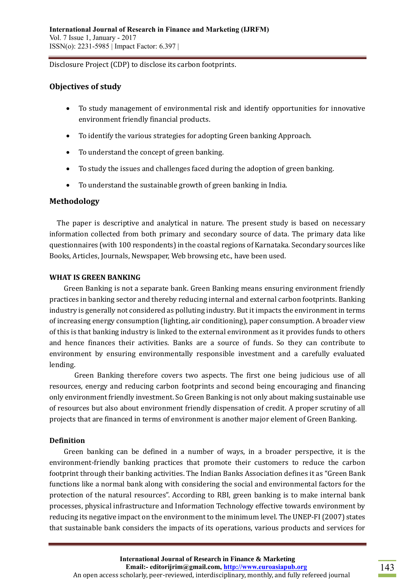Disclosure Project (CDP) to disclose its carbon footprints.

# **Objectives of study**

- To study management of environmental risk and identify opportunities for innovative environment friendly financial products.
- To identify the various strategies for adopting Green banking Approach.
- To understand the concept of green banking.
- To study the issues and challenges faced during the adoption of green banking.
- To understand the sustainable growth of green banking in India.

## **Methodology**

 The paper is descriptive and analytical in nature. The present study is based on necessary information collected from both primary and secondary source of data. The primary data like questionnaires (with 100 respondents) in the coastal regions of Karnataka. Secondary sources like Books, Articles, Journals, Newspaper, Web browsing etc., have been used.

#### **WHAT IS GREEN BANKING**

Green Banking is not a separate bank. Green Banking means ensuring environment friendly practices in banking sector and thereby reducing internal and external carbon footprints. Banking industry is generally not considered as polluting industry. But it impacts the environment in terms of increasing energy consumption (lighting, air conditioning), paper consumption. A broader view of this is that banking industry is linked to the external environment as it provides funds to others and hence finances their activities. Banks are a source of funds. So they can contribute to environment by ensuring environmentally responsible investment and a carefully evaluated lending.

Green Banking therefore covers two aspects. The first one being judicious use of all resources, energy and reducing carbon footprints and second being encouraging and financing only environment friendly investment. So Green Banking is not only about making sustainable use of resources but also about environment friendly dispensation of credit. A proper scrutiny of all projects that are financed in terms of environment is another major element of Green Banking.

#### **Definition**

 Green banking can be defined in a number of ways, in a broader perspective, it is the environment-friendly banking practices that promote their customers to reduce the carbon footprint through their banking activities. The Indian Banks Association defines it as "Green Bank functions like a normal bank along with considering the social and environmental factors for the protection of the natural resources". According to RBI, green banking is to make internal bank processes, physical infrastructure and Information Technology effective towards environment by reducing its negative impact on the environment to the minimum level. The UNEP-FI (2007) states that sustainable bank considers the impacts of its operations, various products and services for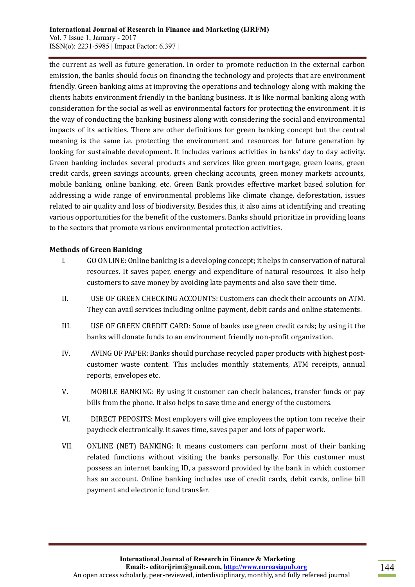the current as well as future generation. In order to promote reduction in the external carbon emission, the banks should focus on financing the technology and projects that are environment friendly. Green banking aims at improving the operations and technology along with making the clients habits environment friendly in the banking business. It is like normal banking along with consideration for the social as well as environmental factors for protecting the environment. It is the way of conducting the banking business along with considering the social and environmental impacts of its activities. There are other definitions for green banking concept but the central meaning is the same i.e. protecting the environment and resources for future generation by looking for sustainable development. It includes various activities in banks' day to day activity. Green banking includes several products and services like green mortgage, green loans, green credit cards, green savings accounts, green checking accounts, green money markets accounts, mobile banking, online banking, etc. Green Bank provides effective market based solution for addressing a wide range of environmental problems like climate change, deforestation, issues related to air quality and loss of biodiversity. Besides this, it also aims at identifying and creating various opportunities for the benefit of the customers. Banks should prioritize in providing loans to the sectors that promote various environmental protection activities.

## **Methods of Green Banking**

- I. GO ONLINE: Online banking is a developing concept; it helps in conservation of natural resources. It saves paper, energy and expenditure of natural resources. It also help customers to save money by avoiding late payments and also save their time.
- II. USE OF GREEN CHECKING ACCOUNTS: Customers can check their accounts on ATM. They can avail services including online payment, debit cards and online statements.
- III. USE OF GREEN CREDIT CARD: Some of banks use green credit cards; by using it the banks will donate funds to an environment friendly non-profit organization.
- IV. AVING OF PAPER: Banks should purchase recycled paper products with highest postcustomer waste content. This includes monthly statements, ATM receipts, annual reports, envelopes etc.
- V. MOBILE BANKING: By using it customer can check balances, transfer funds or pay bills from the phone. It also helps to save time and energy of the customers.
- VI. DIRECT PEPOSITS: Most employers will give employees the option tom receive their paycheck electronically. It saves time, saves paper and lots of paper work.
- VII. ONLINE (NET) BANKING: It means customers can perform most of their banking related functions without visiting the banks personally. For this customer must possess an internet banking ID, a password provided by the bank in which customer has an account. Online banking includes use of credit cards, debit cards, online bill payment and electronic fund transfer.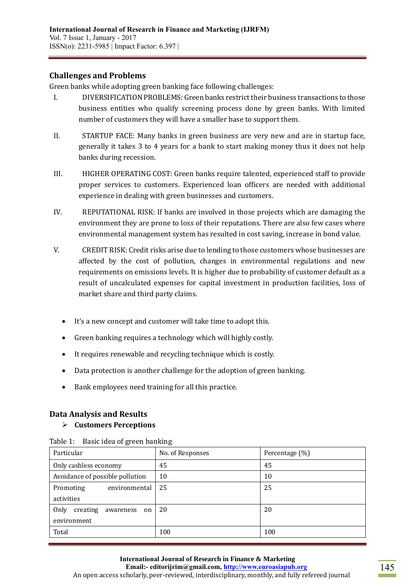## **Challenges and Problems**

Green banks while adopting green banking face following challenges:

- I. DIVERSIFICATION PROBLEMS: Green banks restrict their business transactions to those business entities who qualify screening process done by green banks. With limited number of customers they will have a smaller base to support them.
- II. STARTUP FACE: Many banks in green business are very new and are in startup face, generally it takes 3 to 4 years for a bank to start making money thus it does not help banks during recession.
- III. HIGHER OPERATING COST: Green banks require talented, experienced staff to provide proper services to customers. Experienced loan officers are needed with additional experience in dealing with green businesses and customers.
- IV. REPUTATIONAL RISK: If banks are involved in those projects which are damaging the environment they are prone to loss of their reputations. There are also few cases where environmental management system has resulted in cost saving, increase in bond value.
- V. CREDIT RISK: Credit risks arise due to lending to those customers whose businesses are affected by the cost of pollution, changes in environmental regulations and new requirements on emissions levels. It is higher due to probability of customer default as a result of uncalculated expenses for capital investment in production facilities, loss of market share and third party claims.
	- It's a new concept and customer will take time to adopt this.
	- Green banking requires a technology which will highly costly.
	- It requires renewable and recycling technique which is costly.
	- Data protection is another challenge for the adoption of green banking.
	- Bank employees need training for all this practice.

# **Data Analysis and Results**

#### **Customers Perceptions**

| Particular                       | No. of Responses | Percentage (%) |
|----------------------------------|------------------|----------------|
| Only cashless economy            | 45               | 45             |
| Avoidance of possible pollution  | 10               | 10             |
| environmental<br>Promoting       | 25               | 25             |
| activities                       |                  |                |
| Only<br>creating<br>awareness on | 20               | 20             |
| environment                      |                  |                |
| Total                            | 100              | 100            |

| Table 1: Basic idea of green banking |  |  |  |
|--------------------------------------|--|--|--|
|--------------------------------------|--|--|--|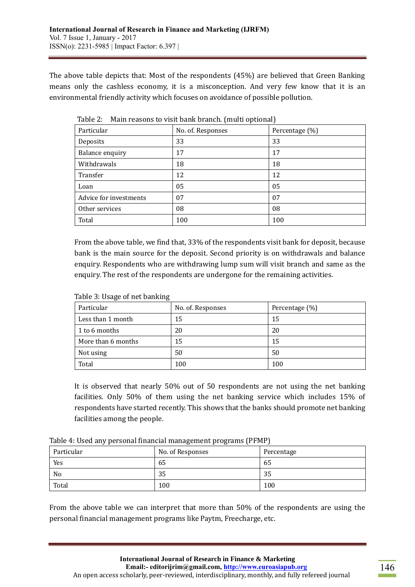The above table depicts that: Most of the respondents (45%) are believed that Green Banking means only the cashless economy, it is a misconception. And very few know that it is an environmental friendly activity which focuses on avoidance of possible pollution.

|                        | $\overline{\phantom{a}}$ | ╯              |
|------------------------|--------------------------|----------------|
| Particular             | No. of. Responses        | Percentage (%) |
| Deposits               | 33                       | 33             |
| Balance enquiry        | 17                       | 17             |
| Withdrawals            | 18                       | 18             |
| Transfer               | 12                       | 12             |
| Loan                   | 05                       | 05             |
| Advice for investments | 07                       | 07             |
| Other services         | 08                       | 08             |
| Total                  | 100                      | 100            |

Table 2: Main reasons to visit bank branch. (multi optional)

From the above table, we find that, 33% of the respondents visit bank for deposit, because bank is the main source for the deposit. Second priority is on withdrawals and balance enquiry. Respondents who are withdrawing lump sum will visit branch and same as the enquiry. The rest of the respondents are undergone for the remaining activities.

| Particular         | No. of. Responses | Percentage (%) |
|--------------------|-------------------|----------------|
| Less than 1 month  | 15                | 15             |
| 1 to 6 months      | 20                | 20             |
| More than 6 months | 15                | 15             |
| Not using          | 50                | 50             |
| Total              | 100               | 100            |

Table 3: Usage of net banking

It is observed that nearly 50% out of 50 respondents are not using the net banking facilities. Only 50% of them using the net banking service which includes 15% of respondents have started recently. This shows that the banks should promote net banking facilities among the people.

| Particular | No. of Responses | Percentage |
|------------|------------------|------------|
| Yes        | 65               | 65         |
| No         | 35               | 35         |
| Total      | 100              | 100        |

From the above table we can interpret that more than 50% of the respondents are using the personal financial management programs like Paytm, Freecharge, etc.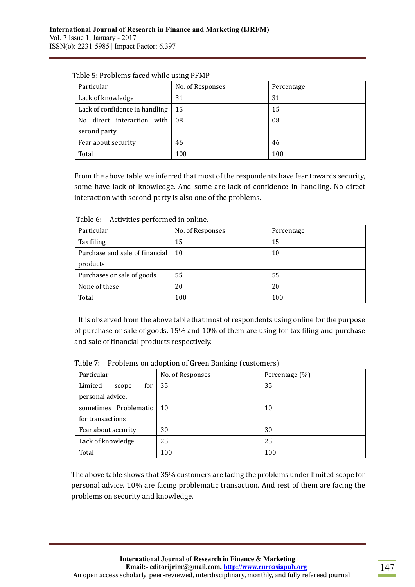| Particular                     | No. of Responses | Percentage |
|--------------------------------|------------------|------------|
| Lack of knowledge              | 31               | 31         |
| Lack of confidence in handling | -15              | 15         |
| direct interaction with<br>No. | 08               | 08         |
| second party                   |                  |            |
| Fear about security            | 46               | 46         |
| Total                          | 100              | 100        |

Table 5: Problems faced while using PFMP

From the above table we inferred that most of the respondents have fear towards security, some have lack of knowledge. And some are lack of confidence in handling. No direct interaction with second party is also one of the problems.

| Particular                     | No. of Responses | Percentage |
|--------------------------------|------------------|------------|
| Tax filing                     | 15               | 15         |
| Purchase and sale of financial | 10               | 10         |
| products                       |                  |            |
| Purchases or sale of goods     | 55               | 55         |
| None of these                  | 20               | 20         |
| Total                          | 100              | 100        |

Table 6: Activities performed in online.

It is observed from the above table that most of respondents using online for the purpose of purchase or sale of goods. 15% and 10% of them are using for tax filing and purchase and sale of financial products respectively.

| Particular               | No. of Responses | Percentage (%) |
|--------------------------|------------------|----------------|
| Limited<br>for<br>scope  | 35               | 35             |
| personal advice.         |                  |                |
| sometimes Problematic 10 |                  | 10             |
| for transactions         |                  |                |
| Fear about security      | 30               | 30             |
| Lack of knowledge        | 25               | 25             |
| Total                    | 100              | 100            |

Table 7: Problems on adoption of Green Banking (customers)

The above table shows that 35% customers are facing the problems under limited scope for personal advice. 10% are facing problematic transaction. And rest of them are facing the problems on security and knowledge.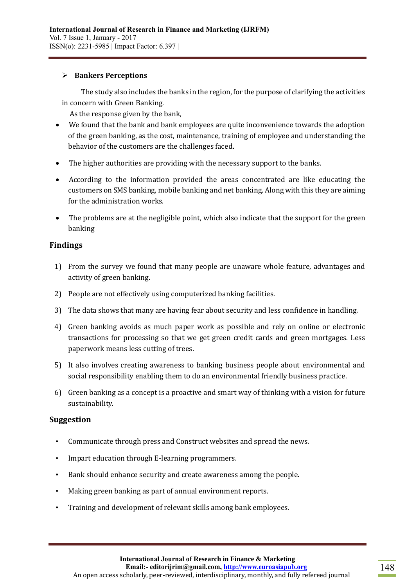## **Bankers Perceptions**

 The study also includes the banks in the region, for the purpose of clarifying the activities in concern with Green Banking.

As the response given by the bank,

- We found that the bank and bank employees are quite inconvenience towards the adoption of the green banking, as the cost, maintenance, training of employee and understanding the behavior of the customers are the challenges faced.
- The higher authorities are providing with the necessary support to the banks.
- According to the information provided the areas concentrated are like educating the customers on SMS banking, mobile banking and net banking. Along with this they are aiming for the administration works.
- The problems are at the negligible point, which also indicate that the support for the green banking

## **Findings**

- 1) From the survey we found that many people are unaware whole feature, advantages and activity of green banking.
- 2) People are not effectively using computerized banking facilities.
- 3) The data shows that many are having fear about security and less confidence in handling.
- 4) Green banking avoids as much paper work as possible and rely on online or electronic transactions for processing so that we get green credit cards and green mortgages. Less paperwork means less cutting of trees.
- 5) It also involves creating awareness to banking business people about environmental and social responsibility enabling them to do an environmental friendly business practice.
- 6) Green banking as a concept is a proactive and smart way of thinking with a vision for future sustainability.

#### **Suggestion**

- Communicate through press and Construct websites and spread the news.
- Impart education through E-learning programmers.
- Bank should enhance security and create awareness among the people.
- Making green banking as part of annual environment reports.
- Training and development of relevant skills among bank employees.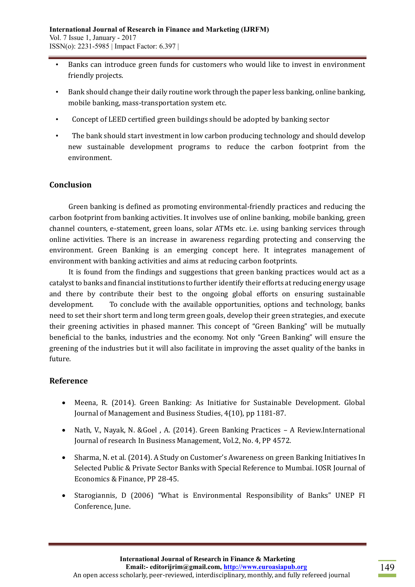- Banks can introduce green funds for customers who would like to invest in environment friendly projects.
- Bank should change their daily routine work through the paper less banking, online banking, mobile banking, mass-transportation system etc.
- Concept of LEED certified green buildings should be adopted by banking sector
- The bank should start investment in low carbon producing technology and should develop new sustainable development programs to reduce the carbon footprint from the environment.

# **Conclusion**

 Green banking is defined as promoting environmental-friendly practices and reducing the carbon footprint from banking activities. It involves use of online banking, mobile banking, green channel counters, e-statement, green loans, solar ATMs etc. i.e. using banking services through online activities. There is an increase in awareness regarding protecting and conserving the environment. Green Banking is an emerging concept here. It integrates management of environment with banking activities and aims at reducing carbon footprints.

 It is found from the findings and suggestions that green banking practices would act as a catalyst to banks and financial institutions to further identify their efforts at reducing energy usage and there by contribute their best to the ongoing global efforts on ensuring sustainable development. To conclude with the available opportunities, options and technology, banks need to set their short term and long term green goals, develop their green strategies, and execute their greening activities in phased manner. This concept of "Green Banking" will be mutually beneficial to the banks, industries and the economy. Not only "Green Banking" will ensure the greening of the industries but it will also facilitate in improving the asset quality of the banks in future.

# **Reference**

- Meena, R. (2014). Green Banking: As Initiative for Sustainable Development. Global Journal of Management and Business Studies, 4(10), pp 1181-87.
- Nath, V., Nayak, N. &Goel , A. (2014). Green Banking Practices A Review.International Journal of research In Business Management, Vol.2, No. 4, PP 4572.
- Sharma, N. et al. (2014). A Study on Customer's Awareness on green Banking Initiatives In Selected Public & Private Sector Banks with Special Reference to Mumbai. IOSR Journal of Economics & Finance, PP 28-45.
- Starogiannis, D (2006) "What is Environmental Responsibility of Banks" UNEP FI Conference, June.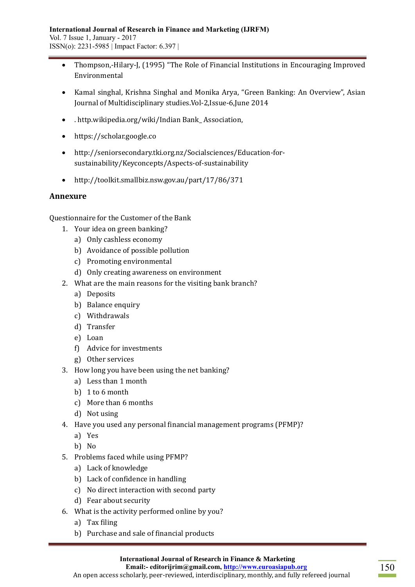- Thompson,-Hilary-J, (1995) "The Role of Financial Institutions in Encouraging Improved Environmental
- Kamal singhal, Krishna Singhal and Monika Arya, "Green Banking: An Overview", Asian Journal of Multidisciplinary studies.Vol-2,Issue-6,June 2014
- . http.wikipedia.org/wiki/Indian Bank\_ Association,
- https://scholar.google.co
- http://seniorsecondary.tki.org.nz/Socialsciences/Education-forsustainability/Keyconcepts/Aspects-of-sustainability
- http://toolkit.smallbiz.nsw.gov.au/part/17/86/371

## **Annexure**

Questionnaire for the Customer of the Bank

- 1. Your idea on green banking?
	- a) Only cashless economy
	- b) Avoidance of possible pollution
	- c) Promoting environmental
	- d) Only creating awareness on environment
- 2. What are the main reasons for the visiting bank branch?
	- a) Deposits
	- b) Balance enquiry
	- c) Withdrawals
	- d) Transfer
	- e) Loan
	- f) Advice for investments
	- g) Other services
- 3. How long you have been using the net banking?
	- a) Less than 1 month
	- b) 1 to 6 month
	- c) More than 6 months
	- d) Not using
- 4. Have you used any personal financial management programs (PFMP)?
	- a) Yes
	- b) No
- 5. Problems faced while using PFMP?
	- a) Lack of knowledge
	- b) Lack of confidence in handling
	- c) No direct interaction with second party
	- d) Fear about security
- 6. What is the activity performed online by you?
	- a) Tax filing
	- b) Purchase and sale of financial products

 **Email:- editorijrim@gmail.com[, http://www.euroasiapub.org](http://www.euroasiapub.org/)**

An open access scholarly, peer-reviewed, interdisciplinary, monthly, and fully refereed journal